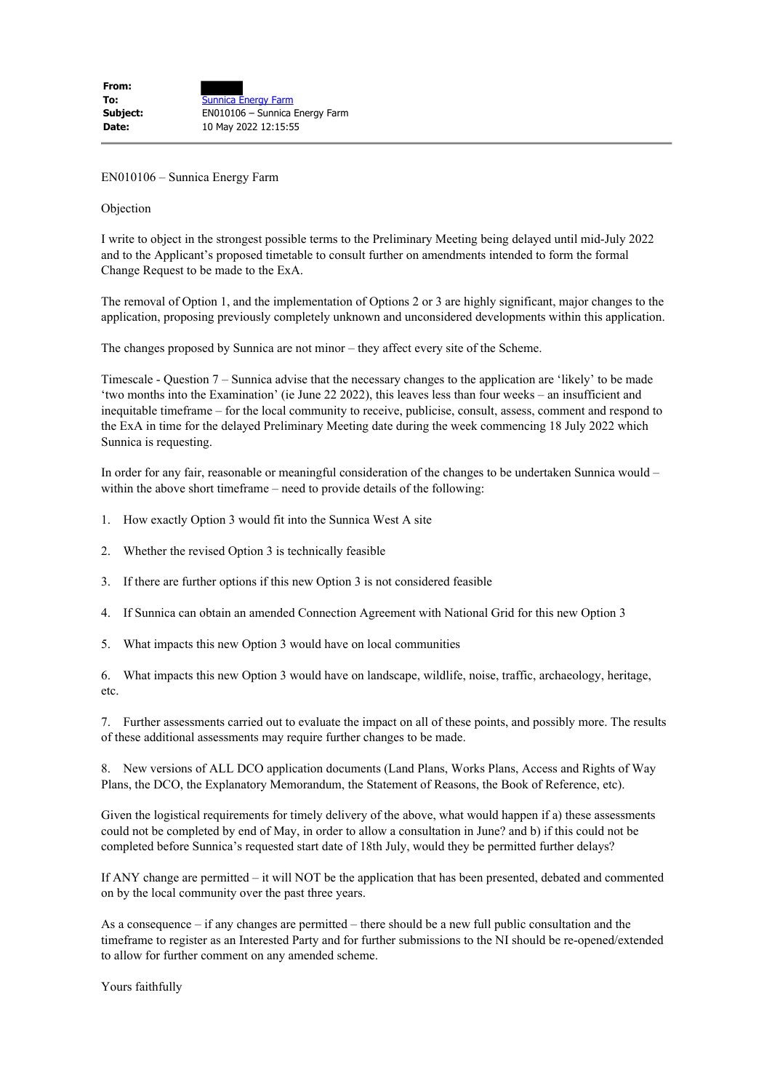EN010106 – Sunnica Energy Farm

## Objection

I write to object in the strongest possible terms to the Preliminary Meeting being delayed until mid-July 2022 and to the Applicant's proposed timetable to consult further on amendments intended to form the formal Change Request to be made to the ExA.

The removal of Option 1, and the implementation of Options 2 or 3 are highly significant, major changes to the application, proposing previously completely unknown and unconsidered developments within this application.

The changes proposed by Sunnica are not minor – they affect every site of the Scheme.

Timescale - Question 7 – Sunnica advise that the necessary changes to the application are 'likely' to be made 'two months into the Examination' (ie June 22 2022), this leaves less than four weeks – an insufficient and inequitable timeframe – for the local community to receive, publicise, consult, assess, comment and respond to the ExA in time for the delayed Preliminary Meeting date during the week commencing 18 July 2022 which Sunnica is requesting.

In order for any fair, reasonable or meaningful consideration of the changes to be undertaken Sunnica would – within the above short timeframe – need to provide details of the following:

- 1. How exactly Option 3 would fit into the Sunnica West A site
- 2. Whether the revised Option 3 is technically feasible
- 3. If there are further options if this new Option 3 is not considered feasible
- 4. If Sunnica can obtain an amended Connection Agreement with National Grid for this new Option 3
- 5. What impacts this new Option 3 would have on local communities

6. What impacts this new Option 3 would have on landscape, wildlife, noise, traffic, archaeology, heritage, etc.

7. Further assessments carried out to evaluate the impact on all of these points, and possibly more. The results of these additional assessments may require further changes to be made.

8. New versions of ALL DCO application documents (Land Plans, Works Plans, Access and Rights of Way Plans, the DCO, the Explanatory Memorandum, the Statement of Reasons, the Book of Reference, etc).

Given the logistical requirements for timely delivery of the above, what would happen if a) these assessments could not be completed by end of May, in order to allow a consultation in June? and b) if this could not be completed before Sunnica's requested start date of 18th July, would they be permitted further delays?

If ANY change are permitted – it will NOT be the application that has been presented, debated and commented on by the local community over the past three years.

As a consequence – if any changes are permitted – there should be a new full public consultation and the timeframe to register as an Interested Party and for further submissions to the NI should be re-opened/extended to allow for further comment on any amended scheme.

Yours faithfully